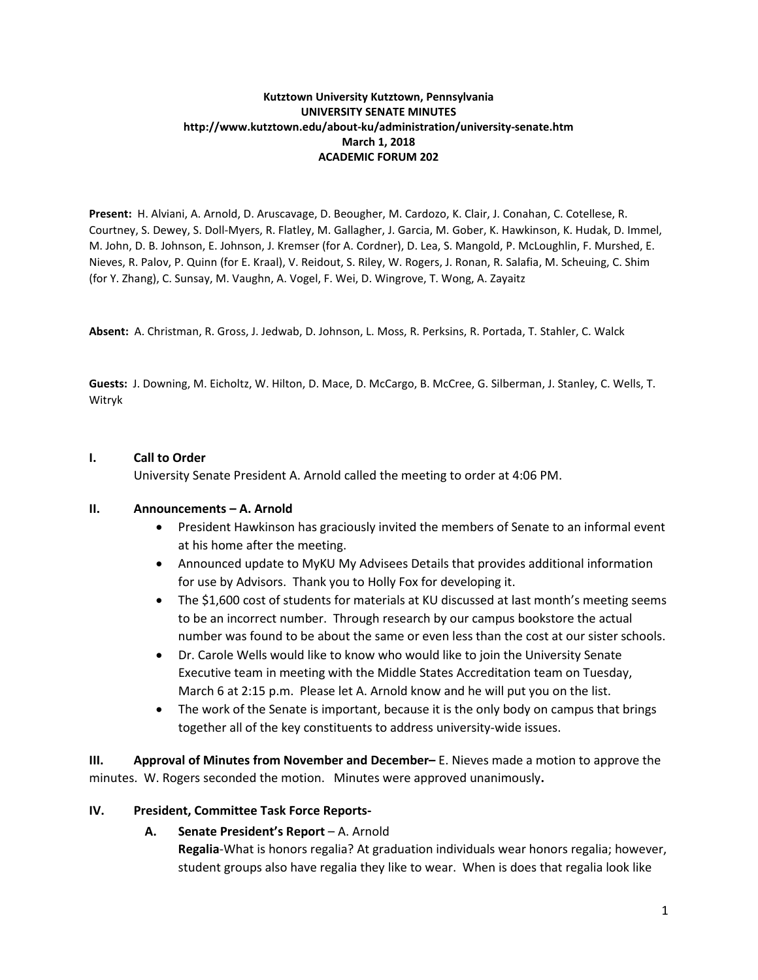# **Kutztown University Kutztown, Pennsylvania UNIVERSITY SENATE MINUTES http://www.kutztown.edu/about-ku/administration/university-senate.htm March 1, 2018 ACADEMIC FORUM 202**

**Present:** H. Alviani, A. Arnold, D. Aruscavage, D. Beougher, M. Cardozo, K. Clair, J. Conahan, C. Cotellese, R. Courtney, S. Dewey, S. Doll-Myers, R. Flatley, M. Gallagher, J. Garcia, M. Gober, K. Hawkinson, K. Hudak, D. Immel, M. John, D. B. Johnson, E. Johnson, J. Kremser (for A. Cordner), D. Lea, S. Mangold, P. McLoughlin, F. Murshed, E. Nieves, R. Palov, P. Quinn (for E. Kraal), V. Reidout, S. Riley, W. Rogers, J. Ronan, R. Salafia, M. Scheuing, C. Shim (for Y. Zhang), C. Sunsay, M. Vaughn, A. Vogel, F. Wei, D. Wingrove, T. Wong, A. Zayaitz

**Absent:** A. Christman, R. Gross, J. Jedwab, D. Johnson, L. Moss, R. Perksins, R. Portada, T. Stahler, C. Walck

**Guests:** J. Downing, M. Eicholtz, W. Hilton, D. Mace, D. McCargo, B. McCree, G. Silberman, J. Stanley, C. Wells, T. Witryk

# **I. Call to Order**

University Senate President A. Arnold called the meeting to order at 4:06 PM.

# **II. Announcements – A. Arnold**

- President Hawkinson has graciously invited the members of Senate to an informal event at his home after the meeting.
- Announced update to MyKU My Advisees Details that provides additional information for use by Advisors. Thank you to Holly Fox for developing it.
- The \$1,600 cost of students for materials at KU discussed at last month's meeting seems to be an incorrect number. Through research by our campus bookstore the actual number was found to be about the same or even less than the cost at our sister schools.
- Dr. Carole Wells would like to know who would like to join the University Senate Executive team in meeting with the Middle States Accreditation team on Tuesday, March 6 at 2:15 p.m. Please let A. Arnold know and he will put you on the list.
- The work of the Senate is important, because it is the only body on campus that brings together all of the key constituents to address university-wide issues.

**III. Approval of Minutes from November and December–** E. Nieves made a motion to approve the minutes. W. Rogers seconded the motion. Minutes were approved unanimously**.** 

# **IV. President, Committee Task Force Reports-**

# **A. Senate President's Report** – A. Arnold

**Regalia**-What is honors regalia? At graduation individuals wear honors regalia; however, student groups also have regalia they like to wear. When is does that regalia look like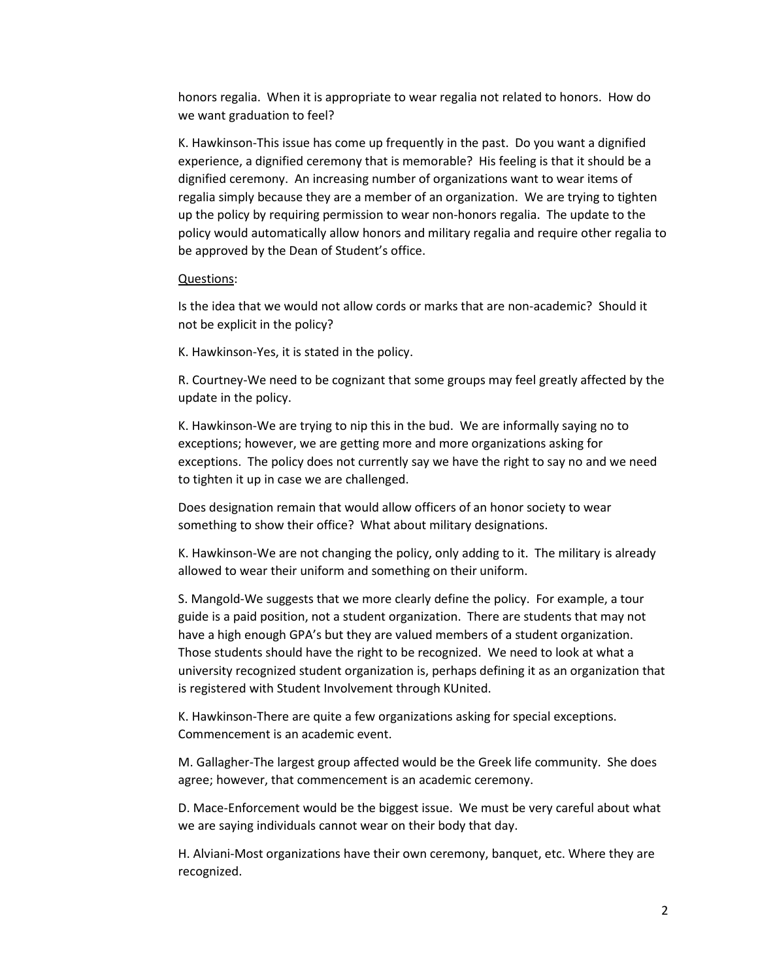honors regalia. When it is appropriate to wear regalia not related to honors. How do we want graduation to feel?

K. Hawkinson-This issue has come up frequently in the past. Do you want a dignified experience, a dignified ceremony that is memorable? His feeling is that it should be a dignified ceremony. An increasing number of organizations want to wear items of regalia simply because they are a member of an organization. We are trying to tighten up the policy by requiring permission to wear non-honors regalia. The update to the policy would automatically allow honors and military regalia and require other regalia to be approved by the Dean of Student's office.

### Questions:

Is the idea that we would not allow cords or marks that are non-academic? Should it not be explicit in the policy?

K. Hawkinson-Yes, it is stated in the policy.

R. Courtney-We need to be cognizant that some groups may feel greatly affected by the update in the policy.

K. Hawkinson-We are trying to nip this in the bud. We are informally saying no to exceptions; however, we are getting more and more organizations asking for exceptions. The policy does not currently say we have the right to say no and we need to tighten it up in case we are challenged.

Does designation remain that would allow officers of an honor society to wear something to show their office? What about military designations.

K. Hawkinson-We are not changing the policy, only adding to it. The military is already allowed to wear their uniform and something on their uniform.

S. Mangold-We suggests that we more clearly define the policy. For example, a tour guide is a paid position, not a student organization. There are students that may not have a high enough GPA's but they are valued members of a student organization. Those students should have the right to be recognized. We need to look at what a university recognized student organization is, perhaps defining it as an organization that is registered with Student Involvement through KUnited.

K. Hawkinson-There are quite a few organizations asking for special exceptions. Commencement is an academic event.

M. Gallagher-The largest group affected would be the Greek life community. She does agree; however, that commencement is an academic ceremony.

D. Mace-Enforcement would be the biggest issue. We must be very careful about what we are saying individuals cannot wear on their body that day.

H. Alviani-Most organizations have their own ceremony, banquet, etc. Where they are recognized.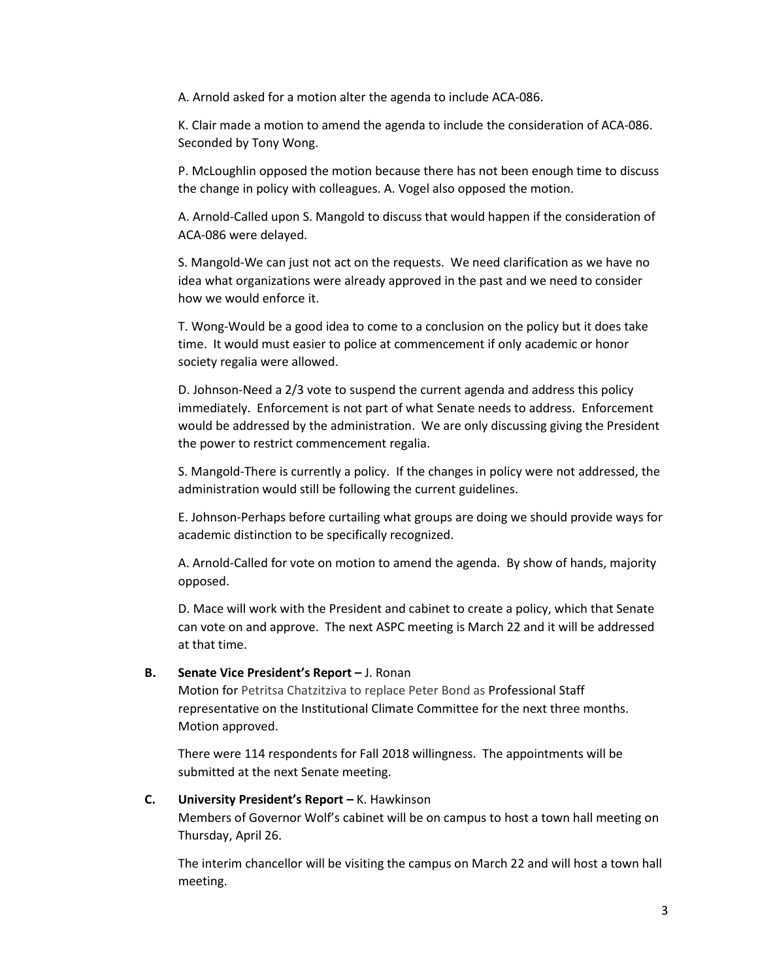A. Arnold asked for a motion alter the agenda to include ACA-086.

K. Clair made a motion to amend the agenda to include the consideration of ACA-086. Seconded by Tony Wong.

P. McLoughlin opposed the motion because there has not been enough time to discuss the change in policy with colleagues. A. Vogel also opposed the motion.

A. Arnold-Called upon S. Mangold to discuss that would happen if the consideration of ACA-086 were delayed.

S. Mangold-We can just not act on the requests. We need clarification as we have no idea what organizations were already approved in the past and we need to consider how we would enforce it.

T. Wong-Would be a good idea to come to a conclusion on the policy but it does take time. It would must easier to police at commencement if only academic or honor society regalia were allowed.

D. Johnson-Need a 2/3 vote to suspend the current agenda and address this policy immediately. Enforcement is not part of what Senate needs to address. Enforcement would be addressed by the administration. We are only discussing giving the President the power to restrict commencement regalia.

S. Mangold-There is currently a policy. If the changes in policy were not addressed, the administration would still be following the current guidelines.

E. Johnson-Perhaps before curtailing what groups are doing we should provide ways for academic distinction to be specifically recognized.

A. Arnold-Called for vote on motion to amend the agenda. By show of hands, majority opposed.

D. Mace will work with the President and cabinet to create a policy, which that Senate can vote on and approve. The next ASPC meeting is March 22 and it will be addressed at that time.

# **B. Senate Vice President's Report –** J. Ronan

Motion for Petritsa Chatzitziva to replace Peter Bond as Professional Staff representative on the Institutional Climate Committee for the next three months. Motion approved.

There were 114 respondents for Fall 2018 willingness. The appointments will be submitted at the next Senate meeting.

## **C. University President's Report –** K. Hawkinson

Members of Governor Wolf's cabinet will be on campus to host a town hall meeting on Thursday, April 26.

The interim chancellor will be visiting the campus on March 22 and will host a town hall meeting.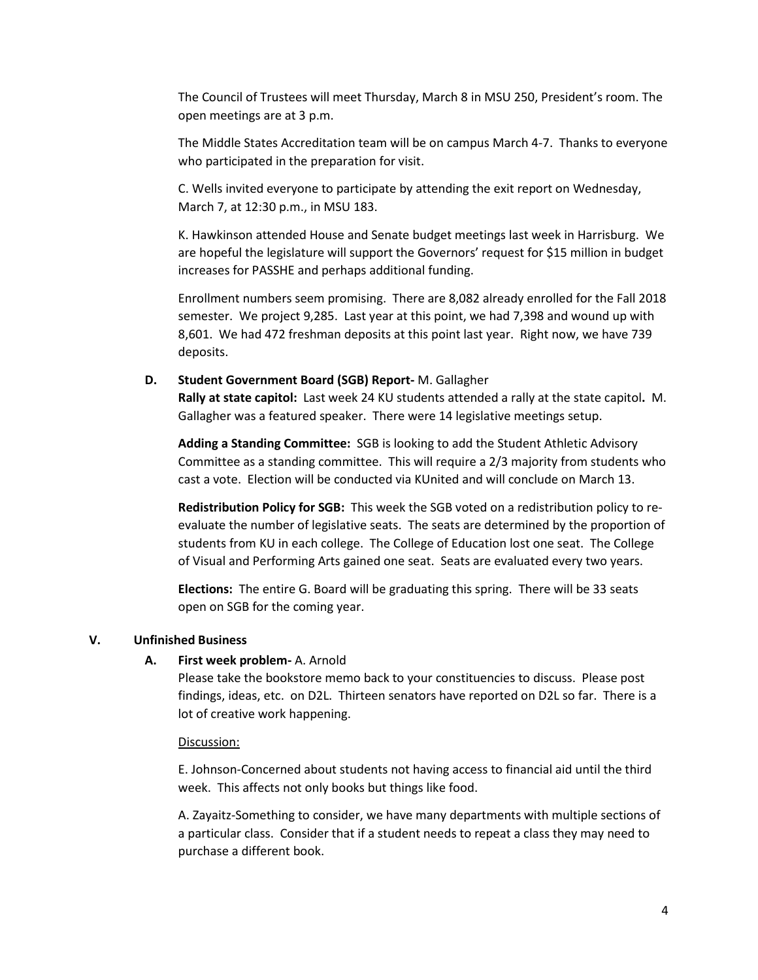The Council of Trustees will meet Thursday, March 8 in MSU 250, President's room. The open meetings are at 3 p.m.

The Middle States Accreditation team will be on campus March 4-7. Thanks to everyone who participated in the preparation for visit.

C. Wells invited everyone to participate by attending the exit report on Wednesday, March 7, at 12:30 p.m., in MSU 183.

K. Hawkinson attended House and Senate budget meetings last week in Harrisburg. We are hopeful the legislature will support the Governors' request for \$15 million in budget increases for PASSHE and perhaps additional funding.

Enrollment numbers seem promising. There are 8,082 already enrolled for the Fall 2018 semester. We project 9,285. Last year at this point, we had 7,398 and wound up with 8,601. We had 472 freshman deposits at this point last year. Right now, we have 739 deposits.

## **D. Student Government Board (SGB) Report-** M. Gallagher

**Rally at state capitol:** Last week 24 KU students attended a rally at the state capitol**.** M. Gallagher was a featured speaker. There were 14 legislative meetings setup.

**Adding a Standing Committee:** SGB is looking to add the Student Athletic Advisory Committee as a standing committee. This will require a 2/3 majority from students who cast a vote. Election will be conducted via KUnited and will conclude on March 13.

**Redistribution Policy for SGB:** This week the SGB voted on a redistribution policy to reevaluate the number of legislative seats. The seats are determined by the proportion of students from KU in each college. The College of Education lost one seat. The College of Visual and Performing Arts gained one seat. Seats are evaluated every two years.

**Elections:** The entire G. Board will be graduating this spring. There will be 33 seats open on SGB for the coming year.

# **V. Unfinished Business**

## **A. First week problem-** A. Arnold

Please take the bookstore memo back to your constituencies to discuss. Please post findings, ideas, etc. on D2L. Thirteen senators have reported on D2L so far. There is a lot of creative work happening.

## Discussion:

E. Johnson-Concerned about students not having access to financial aid until the third week. This affects not only books but things like food.

A. Zayaitz-Something to consider, we have many departments with multiple sections of a particular class. Consider that if a student needs to repeat a class they may need to purchase a different book.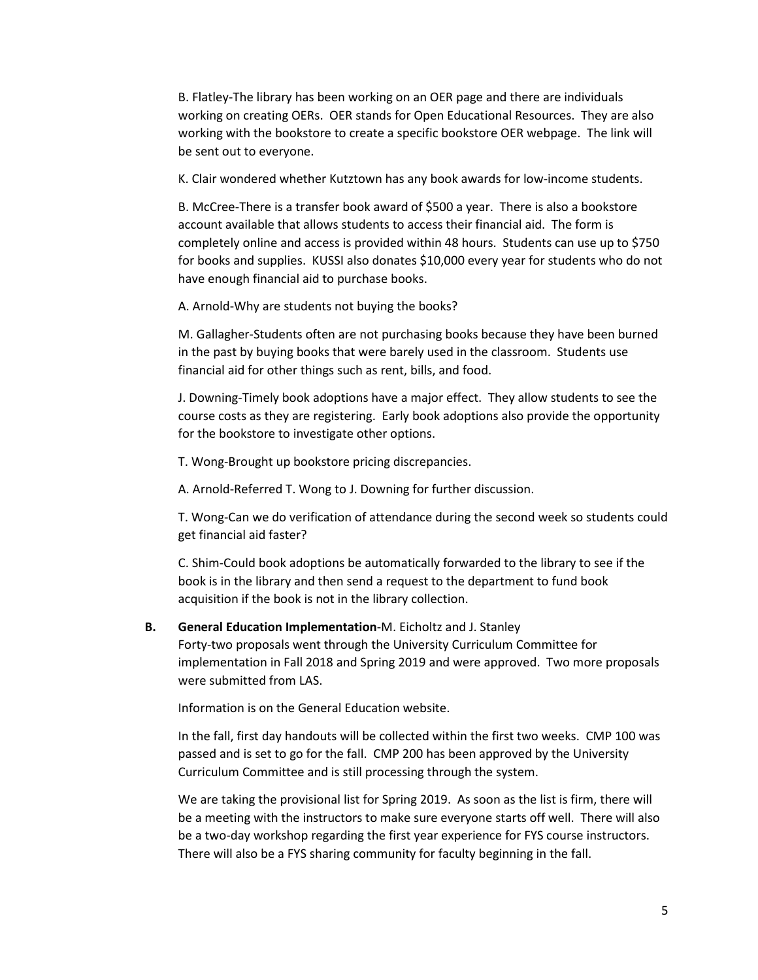B. Flatley-The library has been working on an OER page and there are individuals working on creating OERs. OER stands for Open Educational Resources. They are also working with the bookstore to create a specific bookstore OER webpage. The link will be sent out to everyone.

K. Clair wondered whether Kutztown has any book awards for low-income students.

B. McCree-There is a transfer book award of \$500 a year. There is also a bookstore account available that allows students to access their financial aid. The form is completely online and access is provided within 48 hours. Students can use up to \$750 for books and supplies. KUSSI also donates \$10,000 every year for students who do not have enough financial aid to purchase books.

A. Arnold-Why are students not buying the books?

M. Gallagher-Students often are not purchasing books because they have been burned in the past by buying books that were barely used in the classroom. Students use financial aid for other things such as rent, bills, and food.

J. Downing-Timely book adoptions have a major effect. They allow students to see the course costs as they are registering. Early book adoptions also provide the opportunity for the bookstore to investigate other options.

T. Wong-Brought up bookstore pricing discrepancies.

A. Arnold-Referred T. Wong to J. Downing for further discussion.

T. Wong-Can we do verification of attendance during the second week so students could get financial aid faster?

C. Shim-Could book adoptions be automatically forwarded to the library to see if the book is in the library and then send a request to the department to fund book acquisition if the book is not in the library collection.

#### **B. General Education Implementation**-M. Eicholtz and J. Stanley

Forty-two proposals went through the University Curriculum Committee for implementation in Fall 2018 and Spring 2019 and were approved. Two more proposals were submitted from LAS.

Information is on the General Education website.

In the fall, first day handouts will be collected within the first two weeks. CMP 100 was passed and is set to go for the fall. CMP 200 has been approved by the University Curriculum Committee and is still processing through the system.

We are taking the provisional list for Spring 2019. As soon as the list is firm, there will be a meeting with the instructors to make sure everyone starts off well. There will also be a two-day workshop regarding the first year experience for FYS course instructors. There will also be a FYS sharing community for faculty beginning in the fall.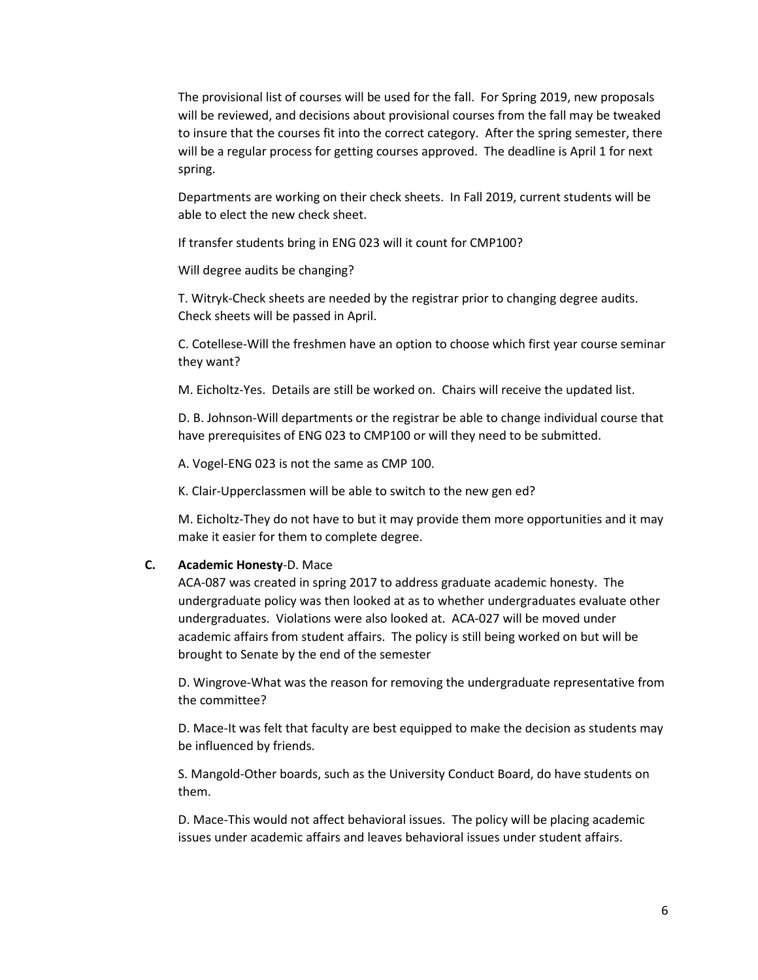The provisional list of courses will be used for the fall. For Spring 2019, new proposals will be reviewed, and decisions about provisional courses from the fall may be tweaked to insure that the courses fit into the correct category. After the spring semester, there will be a regular process for getting courses approved. The deadline is April 1 for next spring.

Departments are working on their check sheets. In Fall 2019, current students will be able to elect the new check sheet.

If transfer students bring in ENG 023 will it count for CMP100?

Will degree audits be changing?

T. Witryk-Check sheets are needed by the registrar prior to changing degree audits. Check sheets will be passed in April.

C. Cotellese-Will the freshmen have an option to choose which first year course seminar they want?

M. Eicholtz-Yes. Details are still be worked on. Chairs will receive the updated list.

D. B. Johnson-Will departments or the registrar be able to change individual course that have prerequisites of ENG 023 to CMP100 or will they need to be submitted.

A. Vogel-ENG 023 is not the same as CMP 100.

K. Clair-Upperclassmen will be able to switch to the new gen ed?

M. Eicholtz-They do not have to but it may provide them more opportunities and it may make it easier for them to complete degree.

### **C. Academic Honesty**-D. Mace

ACA-087 was created in spring 2017 to address graduate academic honesty. The undergraduate policy was then looked at as to whether undergraduates evaluate other undergraduates. Violations were also looked at. ACA-027 will be moved under academic affairs from student affairs. The policy is still being worked on but will be brought to Senate by the end of the semester

D. Wingrove-What was the reason for removing the undergraduate representative from the committee?

D. Mace-It was felt that faculty are best equipped to make the decision as students may be influenced by friends.

S. Mangold-Other boards, such as the University Conduct Board, do have students on them.

D. Mace-This would not affect behavioral issues. The policy will be placing academic issues under academic affairs and leaves behavioral issues under student affairs.